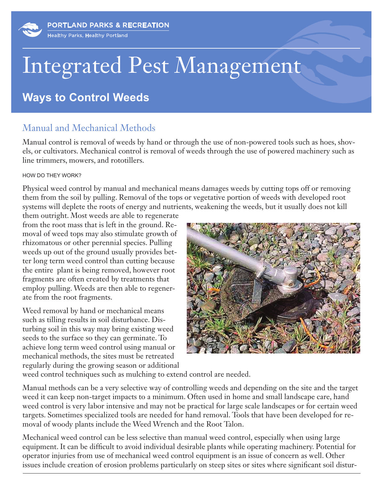# Integrated Pest Management

## **Ways to Control Weeds**

## Manual and Mechanical Methods

Manual control is removal of weeds by hand or through the use of non-powered tools such as hoes, shovels, or cultivators. Mechanical control is removal of weeds through the use of powered machinery such as line trimmers, mowers, and rototillers.

#### HOW DO THEY WORK?

Physical weed control by manual and mechanical means damages weeds by cutting tops off or removing them from the soil by pulling. Removal of the tops or vegetative portion of weeds with developed root systems will deplete the roots of energy and nutrients, weakening the weeds, but it usually does not kill

them outright. Most weeds are able to regenerate from the root mass that is left in the ground. Removal of weed tops may also stimulate growth of rhizomatous or other perennial species. Pulling weeds up out of the ground usually provides better long term weed control than cutting because the entire plant is being removed, however root fragments are often created by treatments that employ pulling. Weeds are then able to regenerate from the root fragments.

Weed removal by hand or mechanical means such as tilling results in soil disturbance. Disturbing soil in this way may bring existing weed seeds to the surface so they can germinate. To achieve long term weed control using manual or mechanical methods, the sites must be retreated regularly during the growing season or additional



weed control techniques such as mulching to extend control are needed.

Manual methods can be a very selective way of controlling weeds and depending on the site and the target weed it can keep non-target impacts to a minimum. Often used in home and small landscape care, hand weed control is very labor intensive and may not be practical for large scale landscapes or for certain weed targets. Sometimes specialized tools are needed for hand removal. Tools that have been developed for removal of woody plants include the Weed Wrench and the Root Talon.

Mechanical weed control can be less selective than manual weed control, especially when using large equipment. It can be difficult to avoid individual desirable plants while operating machinery. Potential for operator injuries from use of mechanical weed control equipment is an issue of concern as well. Other issues include creation of erosion problems particularly on steep sites or sites where significant soil distur